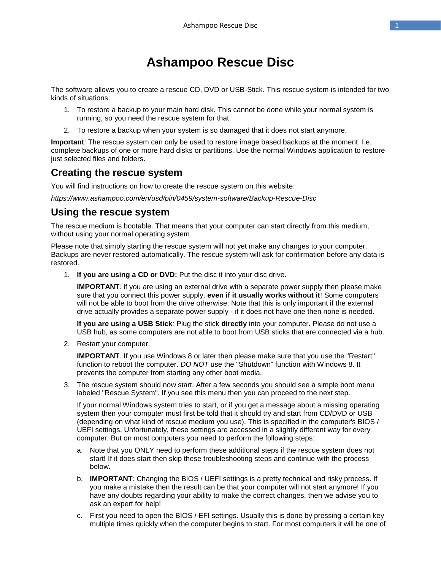# **Ashampoo Rescue Disc**

The software allows you to create a rescue CD, DVD or USB-Stick. This rescue system is intended for two kinds of situations:

- 1. To restore a backup to your main hard disk. This cannot be done while your normal system is running, so you need the rescue system for that.
- 2. To restore a backup when your system is so damaged that it does not start anymore.

**Important***:* The rescue system can only be used to restore image based backups at the moment. I.e. complete backups of one or more hard disks or partitions. Use the normal Windows application to restore just selected files and folders.

# **Creating the rescue system**

You will find instructions on how to create the rescue system on this website:

*https://www.ashampoo.com/en/usd/pin/0459/system-software/Backup-Rescue-Disc*

## **Using the rescue system**

The rescue medium is bootable. That means that your computer can start directly from this medium, without using your normal operating system.

Please note that simply starting the rescue system will not yet make any changes to your computer. Backups are never restored automatically. The rescue system will ask for confirmation before any data is restored.

1. **If you are using a CD or DVD:** Put the disc it into your disc drive.

**IMPORTANT**; if you are using an external drive with a separate power supply then please make sure that you connect this power supply, **even if it usually works without it**! Some computers will not be able to boot from the drive otherwise. Note that this is only important if the external drive actually provides a separate power supply - if it does not have one then none is needed.

**If you are using a USB Stick***:* Plug the stick **directly** into your computer. Please do not use a USB hub, as some computers are not able to boot from USB sticks that are connected via a hub.

2. Restart your computer.

**IMPORTANT***:* If you use Windows 8 or later then please make sure that you use the "Restart" function to reboot the computer. *DO NOT* use the "Shutdown" function with Windows 8. It prevents the computer from starting any other boot media.

3. The rescue system should now start. After a few seconds you should see a simple boot menu labeled "Rescue System". If you see this menu then you can proceed to the next step.

If your normal Windows system tries to start, or if you get a message about a missing operating system then your computer must first be told that it should try and start from CD/DVD or USB (depending on what kind of rescue medium you use). This is specified in the computer's BIOS / UEFI settings. Unfortunately, these settings are accessed in a slightly different way for every computer. But on most computers you need to perform the following steps:

- a. Note that you ONLY need to perform these additional steps if the rescue system does not start! If it does start then skip these troubleshooting steps and continue with the process below.
- b. **IMPORTANT***:* Changing the BIOS / UEFI settings is a pretty technical and risky process. If you make a mistake then the result can be that your computer will not start anymore! If you have any doubts regarding your ability to make the correct changes, then we advise you to ask an expert for help!
- c. First you need to open the BIOS / EFI settings. Usually this is done by pressing a certain key multiple times quickly when the computer begins to start. For most computers it will be one of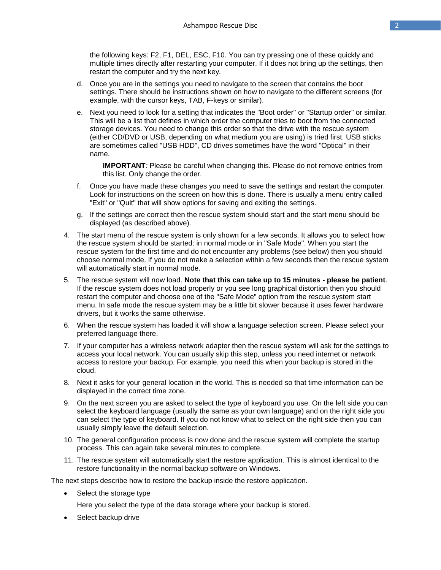the following keys: F2, F1, DEL, ESC, F10. You can try pressing one of these quickly and multiple times directly after restarting your computer. If it does not bring up the settings, then restart the computer and try the next key.

- d. Once you are in the settings you need to navigate to the screen that contains the boot settings. There should be instructions shown on how to navigate to the different screens (for example, with the cursor keys, TAB, F-keys or similar).
- e. Next you need to look for a setting that indicates the "Boot order" or "Startup order" or similar. This will be a list that defines in which order the computer tries to boot from the connected storage devices. You need to change this order so that the drive with the rescue system (either CD/DVD or USB, depending on what medium you are using) is tried first. USB sticks are sometimes called "USB HDD", CD drives sometimes have the word "Optical" in their name.

**IMPORTANT***:* Please be careful when changing this. Please do not remove entries from this list. Only change the order.

- f. Once you have made these changes you need to save the settings and restart the computer. Look for instructions on the screen on how this is done. There is usually a menu entry called "Exit" or "Quit" that will show options for saving and exiting the settings.
- g. If the settings are correct then the rescue system should start and the start menu should be displayed (as described above).
- 4. The start menu of the rescue system is only shown for a few seconds. It allows you to select how the rescue system should be started: in normal mode or in "Safe Mode". When you start the rescue system for the first time and do not encounter any problems (see below) then you should choose normal mode. If you do not make a selection within a few seconds then the rescue system will automatically start in normal mode.
- 5. The rescue system will now load. **Note that this can take up to 15 minutes - please be patient**. If the rescue system does not load properly or you see long graphical distortion then you should restart the computer and choose one of the "Safe Mode" option from the rescue system start menu. In safe mode the rescue system may be a little bit slower because it uses fewer hardware drivers, but it works the same otherwise.
- 6. When the rescue system has loaded it will show a language selection screen. Please select your preferred language there.
- 7. If your computer has a wireless network adapter then the rescue system will ask for the settings to access your local network. You can usually skip this step, unless you need internet or network access to restore your backup. For example, you need this when your backup is stored in the cloud.
- 8. Next it asks for your general location in the world. This is needed so that time information can be displayed in the correct time zone.
- 9. On the next screen you are asked to select the type of keyboard you use. On the left side you can select the keyboard language (usually the same as your own language) and on the right side you can select the type of keyboard. If you do not know what to select on the right side then you can usually simply leave the default selection.
- 10. The general configuration process is now done and the rescue system will complete the startup process. This can again take several minutes to complete.
- 11. The rescue system will automatically start the restore application. This is almost identical to the restore functionality in the normal backup software on Windows.

The next steps describe how to restore the backup inside the restore application.

- Select the storage type
	- Here you select the type of the data storage where your backup is stored.
- Select backup drive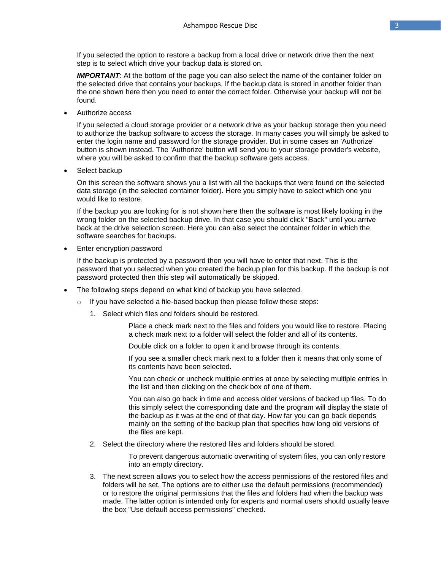If you selected the option to restore a backup from a local drive or network drive then the next step is to select which drive your backup data is stored on.

**IMPORTANT:** At the bottom of the page you can also select the name of the container folder on the selected drive that contains your backups. If the backup data is stored in another folder than the one shown here then you need to enter the correct folder. Otherwise your backup will not be found.

Authorize access

If you selected a cloud storage provider or a network drive as your backup storage then you need to authorize the backup software to access the storage. In many cases you will simply be asked to enter the login name and password for the storage provider. But in some cases an 'Authorize' button is shown instead. The 'Authorize' button will send you to your storage provider's website, where you will be asked to confirm that the backup software gets access.

Select backup

On this screen the software shows you a list with all the backups that were found on the selected data storage (in the selected container folder). Here you simply have to select which one you would like to restore.

If the backup you are looking for is not shown here then the software is most likely looking in the wrong folder on the selected backup drive. In that case you should click "Back" until you arrive back at the drive selection screen. Here you can also select the container folder in which the software searches for backups.

Enter encryption password

If the backup is protected by a password then you will have to enter that next. This is the password that you selected when you created the backup plan for this backup. If the backup is not password protected then this step will automatically be skipped.

- The following steps depend on what kind of backup you have selected.
	- $\circ$  If you have selected a file-based backup then please follow these steps:
		- 1. Select which files and folders should be restored.

Place a check mark next to the files and folders you would like to restore. Placing a check mark next to a folder will select the folder and all of its contents.

Double click on a folder to open it and browse through its contents.

If you see a smaller check mark next to a folder then it means that only some of its contents have been selected.

You can check or uncheck multiple entries at once by selecting multiple entries in the list and then clicking on the check box of one of them.

You can also go back in time and access older versions of backed up files. To do this simply select the corresponding date and the program will display the state of the backup as it was at the end of that day. How far you can go back depends mainly on the setting of the backup plan that specifies how long old versions of the files are kept.

2. Select the directory where the restored files and folders should be stored.

To prevent dangerous automatic overwriting of system files, you can only restore into an empty directory.

3. The next screen allows you to select how the access permissions of the restored files and folders will be set. The options are to either use the default permissions (recommended) or to restore the original permissions that the files and folders had when the backup was made. The latter option is intended only for experts and normal users should usually leave the box "Use default access permissions" checked.